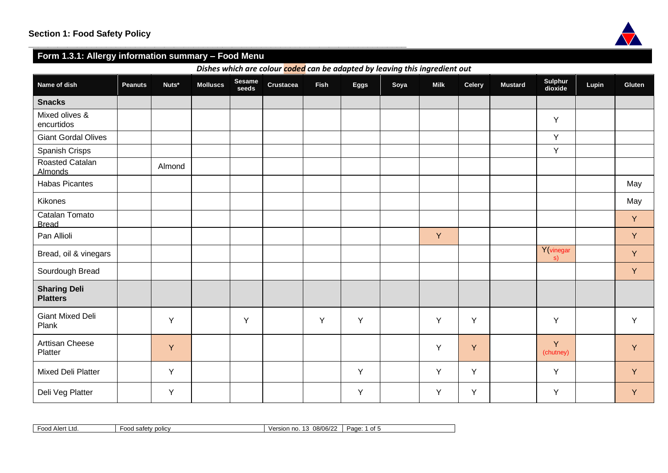

# **Form 1.3.1: Allergy information summary – Food Menu**

**\_\_\_\_\_\_\_\_\_\_\_\_\_\_\_\_\_\_\_\_\_\_\_\_\_\_\_\_\_\_\_\_\_\_\_\_\_\_\_\_\_\_\_\_\_\_\_\_\_\_\_\_\_\_\_\_\_\_\_\_\_\_\_\_\_\_\_\_\_\_\_\_\_\_\_\_\_\_**

*Dishes which are colour coded can be adapted by leaving this ingredient out*

| Name of dish                           | <b>Peanuts</b> | Nuts*  | <b>Molluscs</b> | Sesame<br>seeds | Crustacea | <b>Fish</b> | Eggs | Soya | <b>Milk</b> | <b>Celery</b> | <b>Mustard</b> | Sulphur<br>dioxide | Lupin | <b>Gluten</b> |
|----------------------------------------|----------------|--------|-----------------|-----------------|-----------|-------------|------|------|-------------|---------------|----------------|--------------------|-------|---------------|
| <b>Snacks</b>                          |                |        |                 |                 |           |             |      |      |             |               |                |                    |       |               |
| Mixed olives &<br>encurtidos           |                |        |                 |                 |           |             |      |      |             |               |                | Y                  |       |               |
| <b>Giant Gordal Olives</b>             |                |        |                 |                 |           |             |      |      |             |               |                | Y                  |       |               |
| Spanish Crisps                         |                |        |                 |                 |           |             |      |      |             |               |                | Y                  |       |               |
| Roasted Catalan<br>Almonds             |                | Almond |                 |                 |           |             |      |      |             |               |                |                    |       |               |
| <b>Habas Picantes</b>                  |                |        |                 |                 |           |             |      |      |             |               |                |                    |       | May           |
| Kikones                                |                |        |                 |                 |           |             |      |      |             |               |                |                    |       | May           |
| Catalan Tomato<br><b>Bread</b>         |                |        |                 |                 |           |             |      |      |             |               |                |                    |       | Y             |
| Pan Allioli                            |                |        |                 |                 |           |             |      |      | Y           |               |                |                    |       | Y             |
| Bread, oil & vinegars                  |                |        |                 |                 |           |             |      |      |             |               |                | Y(vinegar<br>s)    |       | Y             |
| Sourdough Bread                        |                |        |                 |                 |           |             |      |      |             |               |                |                    |       | Y             |
| <b>Sharing Deli</b><br><b>Platters</b> |                |        |                 |                 |           |             |      |      |             |               |                |                    |       |               |
| <b>Giant Mixed Deli</b><br>Plank       |                | Y      |                 | Y               |           | Y           | Y    |      | Y           | Y             |                | Y                  |       | Y             |
| Arttisan Cheese<br>Platter             |                | Y      |                 |                 |           |             |      |      | Y           | Y             |                | Y<br>(chutney)     |       | Y             |
| Mixed Deli Platter                     |                | Y      |                 |                 |           |             | Y    |      | Y           | Υ             |                | Y                  |       | Y             |
| Deli Veg Platter                       |                | Y      |                 |                 |           |             | Y    |      | Y           | Υ             |                | Y                  |       | Y             |

| $-00$<br>Inrt<br>Ltd<br>uuu<br>nu. | ⊦ood<br><b>DOIICV</b><br>safety | 08/06/22<br>$\sim$<br>Version<br>.<br>. | Page<br>∩+<br>v |
|------------------------------------|---------------------------------|-----------------------------------------|-----------------|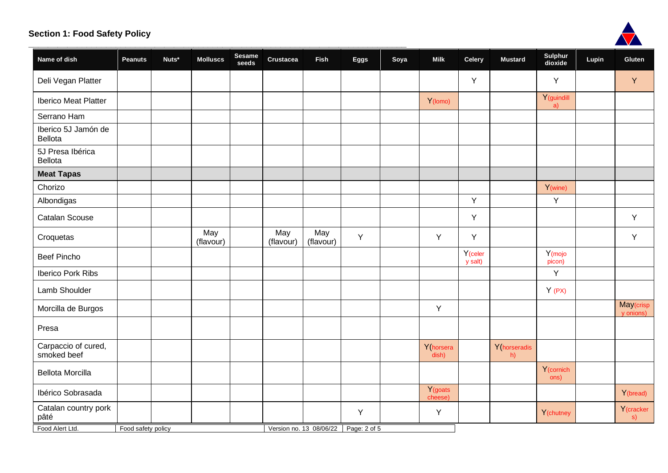

|                                    |                    |       |                  |                 |                  |                                      |             |      |                                |                                |                    |                               |       | <b>A</b>               |
|------------------------------------|--------------------|-------|------------------|-----------------|------------------|--------------------------------------|-------------|------|--------------------------------|--------------------------------|--------------------|-------------------------------|-------|------------------------|
| Name of dish                       | Peanuts            | Nuts* | <b>Molluscs</b>  | Sesame<br>seeds | Crustacea        | Fish                                 | <b>Eggs</b> | Soya | <b>Milk</b>                    | <b>Celery</b>                  | <b>Mustard</b>     | Sulphur<br>dioxide            | Lupin | Gluten                 |
| Deli Vegan Platter                 |                    |       |                  |                 |                  |                                      |             |      |                                | Y                              |                    | Y                             |       | Y                      |
| <b>Iberico Meat Platter</b>        |                    |       |                  |                 |                  |                                      |             |      | Y(lomo)                        |                                |                    | Y (guindill<br>a)             |       |                        |
| Serrano Ham                        |                    |       |                  |                 |                  |                                      |             |      |                                |                                |                    |                               |       |                        |
| Iberico 5J Jamón de<br>Bellota     |                    |       |                  |                 |                  |                                      |             |      |                                |                                |                    |                               |       |                        |
| 5J Presa Ibérica<br><b>Bellota</b> |                    |       |                  |                 |                  |                                      |             |      |                                |                                |                    |                               |       |                        |
| <b>Meat Tapas</b>                  |                    |       |                  |                 |                  |                                      |             |      |                                |                                |                    |                               |       |                        |
| Chorizo                            |                    |       |                  |                 |                  |                                      |             |      |                                |                                |                    | Y(wine)                       |       |                        |
| Albondigas                         |                    |       |                  |                 |                  |                                      |             |      |                                | Y                              |                    | Y                             |       |                        |
| <b>Catalan Scouse</b>              |                    |       |                  |                 |                  |                                      |             |      |                                | Y                              |                    |                               |       | Y                      |
| Croquetas                          |                    |       | May<br>(flavour) |                 | May<br>(flavour) | May<br>(flavour)                     | Y           |      | Y                              | Y                              |                    |                               |       | Y                      |
| <b>Beef Pincho</b>                 |                    |       |                  |                 |                  |                                      |             |      |                                | Y <sub>(celer</sub><br>y salt) |                    | Y <sub>(mojo</sub><br>picon)  |       |                        |
| Iberico Pork Ribs                  |                    |       |                  |                 |                  |                                      |             |      |                                |                                |                    | Y                             |       |                        |
| Lamb Shoulder                      |                    |       |                  |                 |                  |                                      |             |      |                                |                                |                    | Y(PX)                         |       |                        |
| Morcilla de Burgos                 |                    |       |                  |                 |                  |                                      |             |      | Y                              |                                |                    |                               |       | May(crisp<br>y onions) |
| Presa                              |                    |       |                  |                 |                  |                                      |             |      |                                |                                |                    |                               |       |                        |
| Carpaccio of cured,<br>smoked beef |                    |       |                  |                 |                  |                                      |             |      | Y(horsera<br>dish)             |                                | Y(horseradis<br>h) |                               |       |                        |
| <b>Bellota Morcilla</b>            |                    |       |                  |                 |                  |                                      |             |      |                                |                                |                    | Y <sub>(cornich</sub><br>ons) |       |                        |
| Ibérico Sobrasada                  |                    |       |                  |                 |                  |                                      |             |      | Y <sub>(goats</sub><br>cheese) |                                |                    |                               |       | Y(bread)               |
| Catalan country pork<br>pâté       |                    |       |                  |                 |                  |                                      | Y           |      | Y                              |                                |                    | Y(chutney                     |       | Y (cracker<br>s)       |
| Food Alert Ltd.                    | Food safety policy |       |                  |                 |                  | Version no. 13 08/06/22 Page: 2 of 5 |             |      |                                |                                |                    |                               |       |                        |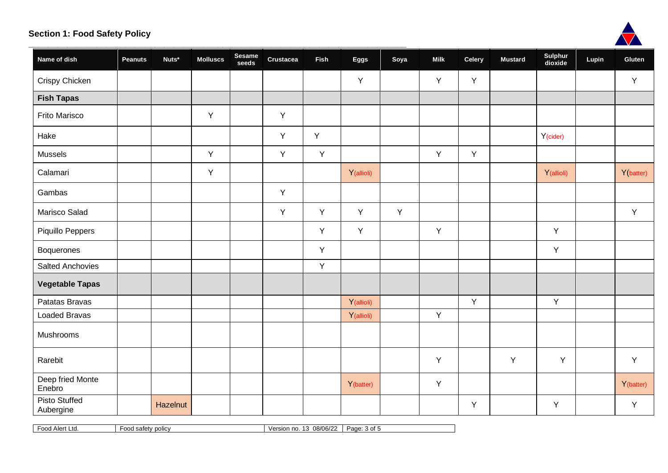

|                                   |                |          |                 |                 |           |             |            |      |             |               |                |                    |       | <b>ANTICON</b> |  |
|-----------------------------------|----------------|----------|-----------------|-----------------|-----------|-------------|------------|------|-------------|---------------|----------------|--------------------|-------|----------------|--|
| Name of dish                      | <b>Peanuts</b> | Nuts*    | <b>Molluscs</b> | Sesame<br>seeds | Crustacea | <b>Fish</b> | Eggs       | Soya | <b>Milk</b> | <b>Celery</b> | <b>Mustard</b> | Sulphur<br>dioxide | Lupin | Gluten         |  |
| Crispy Chicken                    |                |          |                 |                 |           |             | Y          |      | Y           | Y             |                |                    |       | Y              |  |
| <b>Fish Tapas</b>                 |                |          |                 |                 |           |             |            |      |             |               |                |                    |       |                |  |
| Frito Marisco                     |                |          | Y               |                 | Y         |             |            |      |             |               |                |                    |       |                |  |
| Hake                              |                |          |                 |                 | Y         | Υ           |            |      |             |               |                | Y(cider)           |       |                |  |
| <b>Mussels</b>                    |                |          | Υ               |                 | Y         | Y           |            |      | Y           | Y             |                |                    |       |                |  |
| Calamari                          |                |          | Y               |                 |           |             | Y(allioli) |      |             |               |                | Y(allioli)         |       | Y(batter)      |  |
| Gambas                            |                |          |                 |                 | Y         |             |            |      |             |               |                |                    |       |                |  |
| Marisco Salad                     |                |          |                 |                 | Y         | Y           | Y          | Y    |             |               |                |                    |       | Y              |  |
| Piquillo Peppers                  |                |          |                 |                 |           | Y           | Y          |      | Y           |               |                | Υ                  |       |                |  |
| Boquerones                        |                |          |                 |                 |           | Y           |            |      |             |               |                | Y                  |       |                |  |
| <b>Salted Anchovies</b>           |                |          |                 |                 |           | Y           |            |      |             |               |                |                    |       |                |  |
| <b>Vegetable Tapas</b>            |                |          |                 |                 |           |             |            |      |             |               |                |                    |       |                |  |
| Patatas Bravas                    |                |          |                 |                 |           |             | Y(allioli) |      |             | Y             |                | Y                  |       |                |  |
| <b>Loaded Bravas</b>              |                |          |                 |                 |           |             | Y(allioli) |      | Y           |               |                |                    |       |                |  |
| Mushrooms                         |                |          |                 |                 |           |             |            |      |             |               |                |                    |       |                |  |
| Rarebit                           |                |          |                 |                 |           |             |            |      | Y           |               | Y              | Y                  |       | Y              |  |
| Deep fried Monte<br>Enebro        |                |          |                 |                 |           |             | Y(batter)  |      | Y           |               |                |                    |       | Y(batter)      |  |
| <b>Pisto Stuffed</b><br>Aubergine |                | Hazelnut |                 |                 |           |             |            |      |             | Υ             |                | Υ                  |       | Y              |  |

Food Alert Ltd. **Food safety policy Food safety policy** Version no. 13 08/06/22 Page: 3 of 5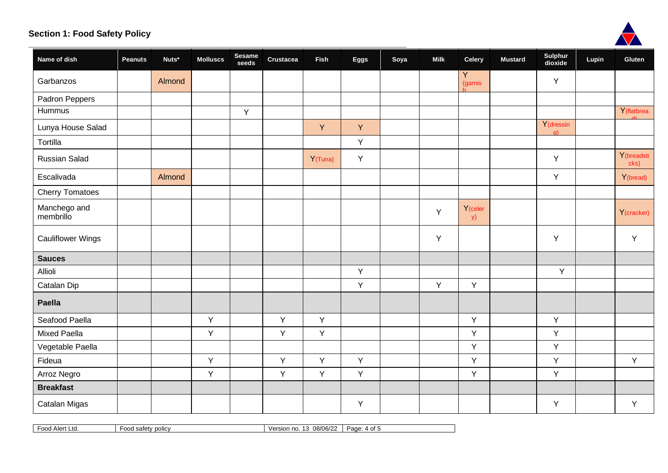

|                           |                |        |                 |                 |                  |             |      |      |             |                                   |                |                        | <b>AND AND A</b> |                    |  |
|---------------------------|----------------|--------|-----------------|-----------------|------------------|-------------|------|------|-------------|-----------------------------------|----------------|------------------------|------------------|--------------------|--|
| Name of dish              | <b>Peanuts</b> | Nuts*  | <b>Molluscs</b> | Sesame<br>seeds | <b>Crustacea</b> | <b>Fish</b> | Eggs | Soya | <b>Milk</b> | <b>Celery</b>                     | <b>Mustard</b> | Sulphur<br>dioxide     | Lupin            | Gluten             |  |
| Garbanzos                 |                | Almond |                 |                 |                  |             |      |      |             | $\overline{Y}$<br>(garnis         |                | Υ                      |                  |                    |  |
| Padron Peppers            |                |        |                 |                 |                  |             |      |      |             |                                   |                |                        |                  |                    |  |
| Hummus                    |                |        |                 | Y               |                  |             |      |      |             |                                   |                |                        |                  | Y(flatbrea         |  |
| Lunya House Salad         |                |        |                 |                 |                  | Y           | Y    |      |             |                                   |                | Y (dressin<br>$\alpha$ |                  |                    |  |
| Tortilla                  |                |        |                 |                 |                  |             | Y    |      |             |                                   |                |                        |                  |                    |  |
| <b>Russian Salad</b>      |                |        |                 |                 |                  | Y(Tuna)     | Y    |      |             |                                   |                | Υ                      |                  | Y(breadsti<br>cks) |  |
| Escalivada                |                | Almond |                 |                 |                  |             |      |      |             |                                   |                | Υ                      |                  | Y(bread)           |  |
| <b>Cherry Tomatoes</b>    |                |        |                 |                 |                  |             |      |      |             |                                   |                |                        |                  |                    |  |
| Manchego and<br>membrillo |                |        |                 |                 |                  |             |      |      | Y           | Y <sub>(celer</sub><br><b>y</b> ) |                |                        |                  | Y(cracker)         |  |
| <b>Cauliflower Wings</b>  |                |        |                 |                 |                  |             |      |      | Y           |                                   |                | Υ                      |                  | Y                  |  |
| <b>Sauces</b>             |                |        |                 |                 |                  |             |      |      |             |                                   |                |                        |                  |                    |  |
| Allioli                   |                |        |                 |                 |                  |             | Y    |      |             |                                   |                | Y                      |                  |                    |  |
| Catalan Dip               |                |        |                 |                 |                  |             | Υ    |      | Y           | Y                                 |                |                        |                  |                    |  |
| Paella                    |                |        |                 |                 |                  |             |      |      |             |                                   |                |                        |                  |                    |  |
| Seafood Paella            |                |        | Y               |                 | Y                | Y           |      |      |             | Y                                 |                | Y                      |                  |                    |  |
| <b>Mixed Paella</b>       |                |        | Y               |                 | Y                | Y           |      |      |             | Y                                 |                | Y                      |                  |                    |  |
| Vegetable Paella          |                |        |                 |                 |                  |             |      |      |             | Y                                 |                | Y                      |                  |                    |  |
| Fideua                    |                |        | Y               |                 | Y                | Y           | Y    |      |             | Y                                 |                | Y                      |                  | Y                  |  |
| Arroz Negro               |                |        | Y               |                 | Y                | Y           | Υ    |      |             | Y                                 |                | Υ                      |                  |                    |  |
| <b>Breakfast</b>          |                |        |                 |                 |                  |             |      |      |             |                                   |                |                        |                  |                    |  |
| Catalan Migas             |                |        |                 |                 |                  |             | Y    |      |             |                                   |                | Υ                      |                  | Y                  |  |

Food Alert Ltd. **Food safety policy Food safety policy** Version no. 13 08/06/22 Page: 4 of 5